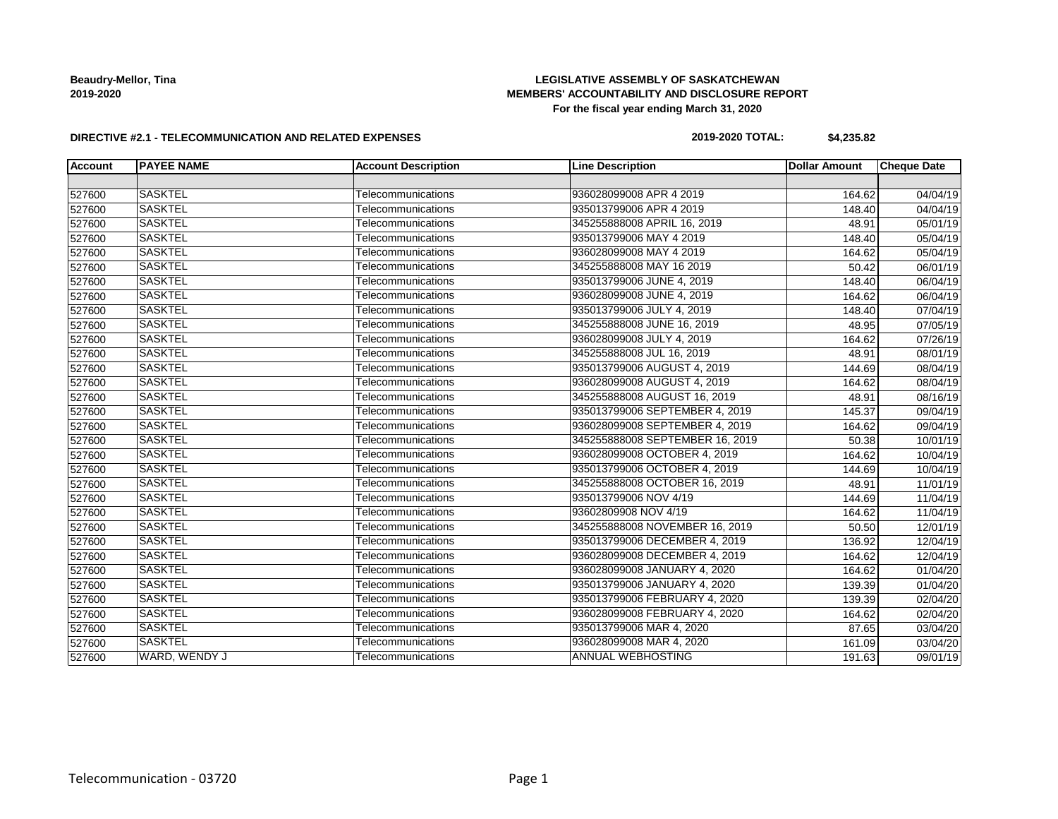## **LEGISLATIVE ASSEMBLY OF SASKATCHEWAN MEMBERS' ACCOUNTABILITY AND DISCLOSURE REPORT For the fiscal year ending March 31, 2020**

#### **DIRECTIVE #2.1 - TELECOMMUNICATION AND RELATED EXPENSES**

## **2019-2020 TOTAL: \$4,235.82**

| <b>Account</b> | <b>PAYEE NAME</b> | <b>Account Description</b> | <b>Line Description</b>         | <b>Dollar Amount</b> | <b>Cheque Date</b>    |
|----------------|-------------------|----------------------------|---------------------------------|----------------------|-----------------------|
|                |                   |                            |                                 |                      |                       |
| 527600         | <b>SASKTEL</b>    | Telecommunications         | 936028099008 APR 4 2019         | 164.62               | 04/04/19              |
| 527600         | <b>SASKTEL</b>    | Telecommunications         | 935013799006 APR 4 2019         | 148.40               | 04/04/19              |
| 527600         | <b>SASKTEL</b>    | Telecommunications         | 345255888008 APRIL 16, 2019     | 48.91                | 05/01/19              |
| 527600         | <b>SASKTEL</b>    | Telecommunications         | 935013799006 MAY 4 2019         | 148.40               | 05/04/19              |
| 527600         | <b>SASKTEL</b>    | Telecommunications         | 936028099008 MAY 4 2019         | 164.62               | 05/04/19              |
| 527600         | <b>SASKTEL</b>    | Telecommunications         | 345255888008 MAY 16 2019        | 50.42                | 06/01/19              |
| 527600         | <b>SASKTEL</b>    | Telecommunications         | 935013799006 JUNE 4, 2019       | 148.40               | 06/04/19              |
| 527600         | <b>SASKTEL</b>    | Telecommunications         | 936028099008 JUNE 4, 2019       | 164.62               | 06/04/19              |
| 527600         | <b>SASKTEL</b>    | Telecommunications         | 935013799006 JULY 4, 2019       | 148.40               | 07/04/19              |
| 527600         | <b>SASKTEL</b>    | Telecommunications         | 345255888008 JUNE 16, 2019      | 48.95                | 07/05/19              |
| 527600         | <b>SASKTEL</b>    | Telecommunications         | 936028099008 JULY 4, 2019       | 164.62               | 07/26/19              |
| 527600         | <b>SASKTEL</b>    | Telecommunications         | 345255888008 JUL 16, 2019       | 48.91                | 08/01/19              |
| 527600         | <b>SASKTEL</b>    | Telecommunications         | 935013799006 AUGUST 4, 2019     | 144.69               | 08/04/19              |
| 527600         | <b>SASKTEL</b>    | Telecommunications         | 936028099008 AUGUST 4, 2019     | 164.62               | 08/04/19              |
| 527600         | <b>SASKTEL</b>    | Telecommunications         | 345255888008 AUGUST 16, 2019    | 48.91                | 08/16/19              |
| 527600         | SASKTEL           | Telecommunications         | 935013799006 SEPTEMBER 4, 2019  | 145.37               | 09/04/19              |
| 527600         | <b>SASKTEL</b>    | Telecommunications         | 936028099008 SEPTEMBER 4, 2019  | 164.62               | 09/04/19              |
| 527600         | <b>SASKTEL</b>    | Telecommunications         | 345255888008 SEPTEMBER 16, 2019 | 50.38                | 10/01/19              |
| 527600         | <b>SASKTEL</b>    | Telecommunications         | 936028099008 OCTOBER 4, 2019    | 164.62               | 10/04/19              |
| 527600         | <b>SASKTEL</b>    | Telecommunications         | 935013799006 OCTOBER 4, 2019    | 144.69               | 10/04/19              |
| 527600         | <b>SASKTEL</b>    | Telecommunications         | 345255888008 OCTOBER 16, 2019   | 48.91                | 11/01/19              |
| 527600         | <b>SASKTEL</b>    | Telecommunications         | 935013799006 NOV 4/19           | 144.69               | 11/04/19              |
| 527600         | <b>SASKTEL</b>    | Telecommunications         | 93602809908 NOV 4/19            | 164.62               | 11/04/19              |
| 527600         | <b>SASKTEL</b>    | Telecommunications         | 345255888008 NOVEMBER 16, 2019  | 50.50                | 12/01/19              |
| 527600         | <b>SASKTEL</b>    | Telecommunications         | 935013799006 DECEMBER 4, 2019   | 136.92               | 12/04/19              |
| 527600         | <b>SASKTEL</b>    | Telecommunications         | 936028099008 DECEMBER 4, 2019   | 164.62               | 12/04/19              |
| 527600         | <b>SASKTEL</b>    | Telecommunications         | 936028099008 JANUARY 4, 2020    | 164.62               | 01/04/20              |
| 527600         | <b>SASKTEL</b>    | Telecommunications         | 935013799006 JANUARY 4, 2020    | 139.39               | 01/04/20              |
| 527600         | <b>SASKTEL</b>    | Telecommunications         | 935013799006 FEBRUARY 4, 2020   | 139.39               | 02/04/20              |
| 527600         | <b>SASKTEL</b>    | Telecommunications         | 936028099008 FEBRUARY 4, 2020   | 164.62               | $\overline{02}/04/20$ |
| 527600         | <b>SASKTEL</b>    | Telecommunications         | 935013799006 MAR 4, 2020        | 87.65                | $\sqrt{03}/04/20$     |
| 527600         | <b>SASKTEL</b>    | Telecommunications         | 936028099008 MAR 4, 2020        | 161.09               | 03/04/20              |
| 527600         | WARD, WENDY J     | Telecommunications         | <b>ANNUAL WEBHOSTING</b>        | 191.63               | 09/01/19              |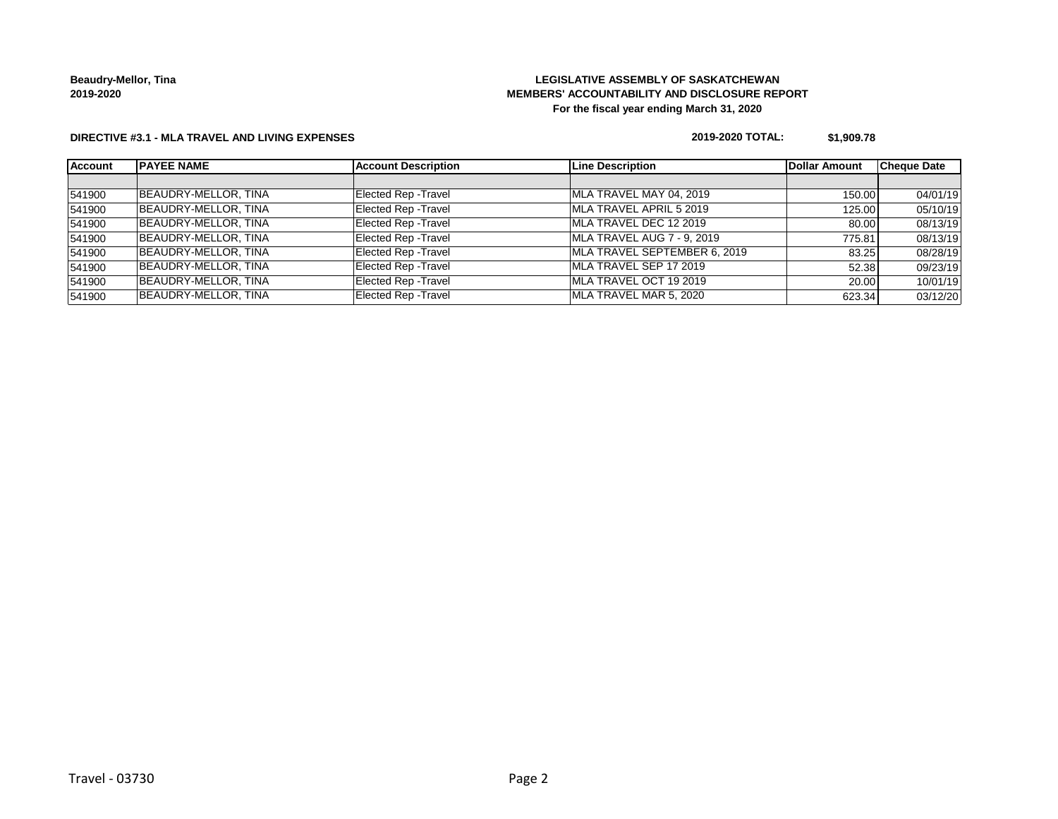## **LEGISLATIVE ASSEMBLY OF SASKATCHEWAN MEMBERS' ACCOUNTABILITY AND DISCLOSURE REPORT For the fiscal year ending March 31, 2020**

#### **DIRECTIVE #3.1 - MLA TRAVEL AND LIVING EXPENSES**

#### **2019-2020 TOTAL: \$1,909.78**

| <b>Account</b> | <b>IPAYEE NAME</b>   | <b>Account Description</b>  | <b>Line Description</b>      | Dollar Amount | <b>Cheque Date</b> |
|----------------|----------------------|-----------------------------|------------------------------|---------------|--------------------|
|                |                      |                             |                              |               |                    |
| 541900         | BEAUDRY-MELLOR, TINA | <b>Elected Rep - Travel</b> | MLA TRAVEL MAY 04, 2019      | 150.00        | 04/01/19           |
| 541900         | BEAUDRY-MELLOR, TINA | <b>Elected Rep - Travel</b> | MLA TRAVEL APRIL 5 2019      | 125.00        | 05/10/19           |
| 541900         | BEAUDRY-MELLOR, TINA | <b>Elected Rep - Travel</b> | MLA TRAVEL DEC 12 2019       | 80.00         | 08/13/19           |
| 541900         | BEAUDRY-MELLOR, TINA | <b>Elected Rep - Travel</b> | MLA TRAVEL AUG 7 - 9, 2019   | 775.81        | 08/13/19           |
| 541900         | BEAUDRY-MELLOR, TINA | <b>Elected Rep - Travel</b> | MLA TRAVEL SEPTEMBER 6, 2019 | 83.25         | 08/28/19           |
| 541900         | BEAUDRY-MELLOR, TINA | Elected Rep - Travel        | MLA TRAVEL SEP 17 2019       | 52.38         | 09/23/19           |
| 541900         | BEAUDRY-MELLOR, TINA | <b>Elected Rep - Travel</b> | MLA TRAVEL OCT 19 2019       | 20.00         | 10/01/19           |
| 541900         | BEAUDRY-MELLOR, TINA | <b>Elected Rep - Travel</b> | MLA TRAVEL MAR 5, 2020       | 623.34        | 03/12/20           |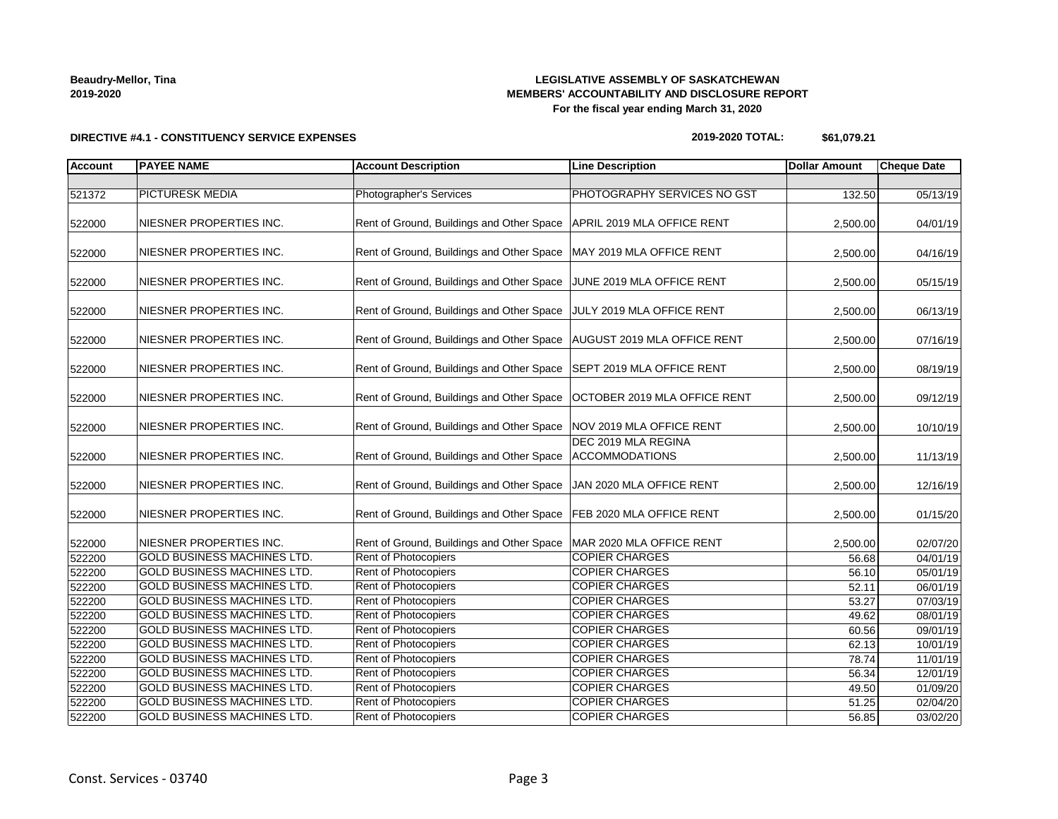## **LEGISLATIVE ASSEMBLY OF SASKATCHEWAN MEMBERS' ACCOUNTABILITY AND DISCLOSURE REPORT For the fiscal year ending March 31, 2020**

**DIRECTIVE #4.1 - CONSTITUENCY SERVICE EXPENSES**

#### **2019-2020 TOTAL: \$61,079.21**

| <b>Account</b> | <b>PAYEE NAME</b>                  | <b>Account Description</b>                                           | <b>Line Description</b>                      | <b>Dollar Amount</b> | <b>Cheque Date</b> |
|----------------|------------------------------------|----------------------------------------------------------------------|----------------------------------------------|----------------------|--------------------|
|                |                                    |                                                                      |                                              |                      |                    |
| 521372         | <b>PICTURESK MEDIA</b>             | <b>Photographer's Services</b>                                       | PHOTOGRAPHY SERVICES NO GST                  | 132.50               | 05/13/19           |
| 522000         | NIESNER PROPERTIES INC.            | Rent of Ground, Buildings and Other Space                            | APRIL 2019 MLA OFFICE RENT                   | 2,500.00             | 04/01/19           |
| 522000         | NIESNER PROPERTIES INC.            | Rent of Ground, Buildings and Other Space                            | MAY 2019 MLA OFFICE RENT                     | 2,500.00             | 04/16/19           |
| 522000         | NIESNER PROPERTIES INC.            | Rent of Ground, Buildings and Other Space                            | JUNE 2019 MLA OFFICE RENT                    | 2,500.00             | 05/15/19           |
| 522000         | NIESNER PROPERTIES INC.            | Rent of Ground, Buildings and Other Space                            | JULY 2019 MLA OFFICE RENT                    | 2,500.00             | 06/13/19           |
| 522000         | NIESNER PROPERTIES INC.            | Rent of Ground, Buildings and Other Space                            | AUGUST 2019 MLA OFFICE RENT                  | 2,500.00             | 07/16/19           |
| 522000         | NIESNER PROPERTIES INC.            | Rent of Ground, Buildings and Other Space                            | SEPT 2019 MLA OFFICE RENT                    | 2,500.00             | 08/19/19           |
| 522000         | NIESNER PROPERTIES INC.            | Rent of Ground, Buildings and Other Space                            | OCTOBER 2019 MLA OFFICE RENT                 | 2,500.00             | 09/12/19           |
| 522000         | NIESNER PROPERTIES INC.            | Rent of Ground, Buildings and Other Space                            | NOV 2019 MLA OFFICE RENT                     | 2,500.00             | 10/10/19           |
| 522000         | NIESNER PROPERTIES INC.            | Rent of Ground, Buildings and Other Space                            | DEC 2019 MLA REGINA<br><b>ACCOMMODATIONS</b> | 2,500.00             | 11/13/19           |
| 522000         | NIESNER PROPERTIES INC.            | Rent of Ground, Buildings and Other Space                            | JAN 2020 MLA OFFICE RENT                     | 2,500.00             | 12/16/19           |
| 522000         | NIESNER PROPERTIES INC.            | Rent of Ground, Buildings and Other Space   FEB 2020 MLA OFFICE RENT |                                              | 2,500.00             | 01/15/20           |
| 522000         | NIESNER PROPERTIES INC.            | Rent of Ground, Buildings and Other Space                            | MAR 2020 MLA OFFICE RENT                     | 2,500.00             | 02/07/20           |
| 522200         | <b>GOLD BUSINESS MACHINES LTD.</b> | Rent of Photocopiers                                                 | <b>COPIER CHARGES</b>                        | 56.68                | 04/01/19           |
| 522200         | <b>GOLD BUSINESS MACHINES LTD.</b> | Rent of Photocopiers                                                 | <b>COPIER CHARGES</b>                        | 56.10                | 05/01/19           |
| 522200         | <b>GOLD BUSINESS MACHINES LTD.</b> | <b>Rent of Photocopiers</b>                                          | <b>COPIER CHARGES</b>                        | 52.11                | 06/01/19           |
| 522200         | <b>GOLD BUSINESS MACHINES LTD.</b> | Rent of Photocopiers                                                 | <b>COPIER CHARGES</b>                        | 53.27                | 07/03/19           |
| 522200         | <b>GOLD BUSINESS MACHINES LTD.</b> | Rent of Photocopiers                                                 | <b>COPIER CHARGES</b>                        | 49.62                | 08/01/19           |
| 522200         | <b>GOLD BUSINESS MACHINES LTD.</b> | Rent of Photocopiers                                                 | <b>COPIER CHARGES</b>                        | 60.56                | 09/01/19           |
| 522200         | GOLD BUSINESS MACHINES LTD.        | Rent of Photocopiers                                                 | <b>COPIER CHARGES</b>                        | 62.13                | 10/01/19           |
| 522200         | <b>GOLD BUSINESS MACHINES LTD.</b> | Rent of Photocopiers                                                 | <b>COPIER CHARGES</b>                        | 78.74                | 11/01/19           |
| 522200         | <b>GOLD BUSINESS MACHINES LTD.</b> | Rent of Photocopiers                                                 | <b>COPIER CHARGES</b>                        | 56.34                | 12/01/19           |
| 522200         | <b>GOLD BUSINESS MACHINES LTD.</b> | Rent of Photocopiers                                                 | <b>COPIER CHARGES</b>                        | 49.50                | 01/09/20           |
| 522200         | <b>GOLD BUSINESS MACHINES LTD.</b> | Rent of Photocopiers                                                 | <b>COPIER CHARGES</b>                        | 51.25                | 02/04/20           |
| 522200         | <b>GOLD BUSINESS MACHINES LTD.</b> | <b>Rent of Photocopiers</b>                                          | <b>COPIER CHARGES</b>                        | 56.85                | 03/02/20           |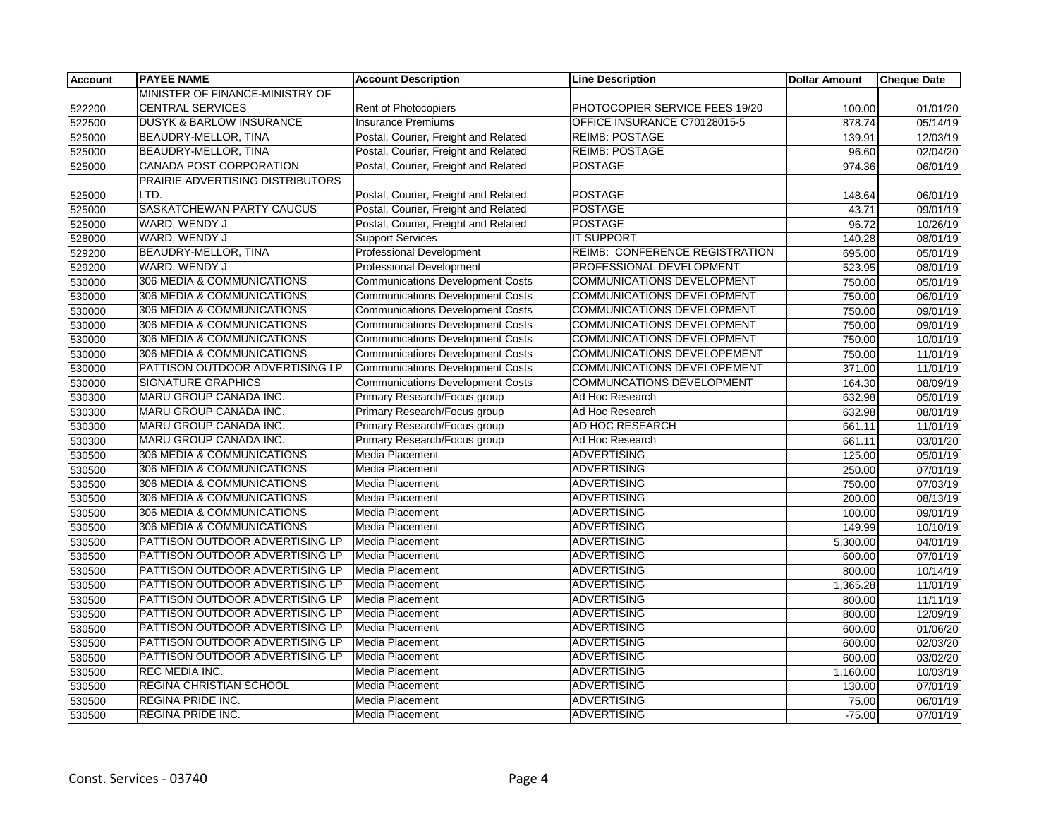| <b>Account</b> | <b>PAYEE NAME</b>                   | <b>Account Description</b>              | <b>Line Description</b>               | <b>Dollar Amount</b> | <b>Cheque Date</b> |
|----------------|-------------------------------------|-----------------------------------------|---------------------------------------|----------------------|--------------------|
|                | MINISTER OF FINANCE-MINISTRY OF     |                                         |                                       |                      |                    |
| 522200         | <b>CENTRAL SERVICES</b>             | Rent of Photocopiers                    | PHOTOCOPIER SERVICE FEES 19/20        | 100.00               | 01/01/20           |
| 522500         | <b>DUSYK &amp; BARLOW INSURANCE</b> | <b>Insurance Premiums</b>               | OFFICE INSURANCE C70128015-5          | 878.74               | 05/14/19           |
| 525000         | <b>BEAUDRY-MELLOR, TINA</b>         | Postal, Courier, Freight and Related    | <b>REIMB: POSTAGE</b>                 | 139.91               | 12/03/19           |
| 525000         | BEAUDRY-MELLOR, TINA                | Postal, Courier, Freight and Related    | <b>REIMB: POSTAGE</b>                 | 96.60                | 02/04/20           |
| 525000         | <b>CANADA POST CORPORATION</b>      | Postal, Courier, Freight and Related    | <b>POSTAGE</b>                        | 974.36               | 06/01/19           |
|                | PRAIRIE ADVERTISING DISTRIBUTORS    |                                         |                                       |                      |                    |
| 525000         | LTD.                                | Postal, Courier, Freight and Related    | <b>POSTAGE</b>                        | 148.64               | 06/01/19           |
| 525000         | <b>SASKATCHEWAN PARTY CAUCUS</b>    | Postal, Courier, Freight and Related    | <b>POSTAGE</b>                        | 43.71                | 09/01/19           |
| 525000         | WARD, WENDY J                       | Postal, Courier, Freight and Related    | <b>POSTAGE</b>                        | 96.72                | 10/26/19           |
| 528000         | WARD, WENDY J                       | <b>Support Services</b>                 | <b>IT SUPPORT</b>                     | 140.28               | 08/01/19           |
| 529200         | <b>BEAUDRY-MELLOR, TINA</b>         | <b>Professional Development</b>         | <b>REIMB: CONFERENCE REGISTRATION</b> | 695.00               | 05/01/19           |
| 529200         | WARD, WENDY J                       | <b>Professional Development</b>         | PROFESSIONAL DEVELOPMENT              | 523.95               | 08/01/19           |
| 530000         | 306 MEDIA & COMMUNICATIONS          | <b>Communications Development Costs</b> | <b>COMMUNICATIONS DEVELOPMENT</b>     | 750.00               | 05/01/19           |
| 530000         | 306 MEDIA & COMMUNICATIONS          | <b>Communications Development Costs</b> | <b>COMMUNICATIONS DEVELOPMENT</b>     | 750.00               | 06/01/19           |
| 530000         | 306 MEDIA & COMMUNICATIONS          | <b>Communications Development Costs</b> | <b>COMMUNICATIONS DEVELOPMENT</b>     | 750.00               | 09/01/19           |
| 530000         | 306 MEDIA & COMMUNICATIONS          | <b>Communications Development Costs</b> | COMMUNICATIONS DEVELOPMENT            | 750.00               | 09/01/19           |
| 530000         | 306 MEDIA & COMMUNICATIONS          | <b>Communications Development Costs</b> | <b>COMMUNICATIONS DEVELOPMENT</b>     | 750.00               | 10/01/19           |
| 530000         | 306 MEDIA & COMMUNICATIONS          | <b>Communications Development Costs</b> | <b>COMMUNICATIONS DEVELOPEMENT</b>    | 750.00               | 11/01/19           |
| 530000         | PATTISON OUTDOOR ADVERTISING LP     | <b>Communications Development Costs</b> | <b>COMMUNICATIONS DEVELOPEMENT</b>    | 371.00               | 11/01/19           |
| 530000         | <b>SIGNATURE GRAPHICS</b>           | <b>Communications Development Costs</b> | COMMUNCATIONS DEVELOPMENT             | 164.30               | 08/09/19           |
| 530300         | MARU GROUP CANADA INC.              | Primary Research/Focus group            | Ad Hoc Research                       | 632.98               | 05/01/19           |
| 530300         | <b>MARU GROUP CANADA INC.</b>       | Primary Research/Focus group            | Ad Hoc Research                       | 632.98               | 08/01/19           |
| 530300         | MARU GROUP CANADA INC.              | Primary Research/Focus group            | AD HOC RESEARCH                       | 661.11               | 11/01/19           |
| 530300         | MARU GROUP CANADA INC.              | Primary Research/Focus group            | Ad Hoc Research                       | 661.11               | 03/01/20           |
| 530500         | 306 MEDIA & COMMUNICATIONS          | Media Placement                         | <b>ADVERTISING</b>                    | 125.00               | 05/01/19           |
| 530500         | 306 MEDIA & COMMUNICATIONS          | Media Placement                         | <b>ADVERTISING</b>                    | 250.00               | 07/01/19           |
| 530500         | 306 MEDIA & COMMUNICATIONS          | <b>Media Placement</b>                  | <b>ADVERTISING</b>                    | 750.00               | 07/03/19           |
| 530500         | 306 MEDIA & COMMUNICATIONS          | Media Placement                         | <b>ADVERTISING</b>                    | 200.00               | 08/13/19           |
| 530500         | 306 MEDIA & COMMUNICATIONS          | Media Placement                         | <b>ADVERTISING</b>                    | 100.00               | 09/01/19           |
| 530500         | 306 MEDIA & COMMUNICATIONS          | Media Placement                         | <b>ADVERTISING</b>                    | 149.99               | 10/10/19           |
| 530500         | PATTISON OUTDOOR ADVERTISING LP     | <b>Media Placement</b>                  | <b>ADVERTISING</b>                    | 5,300.00             | 04/01/19           |
| 530500         | PATTISON OUTDOOR ADVERTISING LP     | Media Placement                         | <b>ADVERTISING</b>                    | 600.00               | 07/01/19           |
| 530500         | PATTISON OUTDOOR ADVERTISING LP     | Media Placement                         | <b>ADVERTISING</b>                    | 800.00               | 10/14/19           |
| 530500         | PATTISON OUTDOOR ADVERTISING LP     | Media Placement                         | <b>ADVERTISING</b>                    | 1,365.28             | 11/01/19           |
| 530500         | PATTISON OUTDOOR ADVERTISING LP     | <b>Media Placement</b>                  | <b>ADVERTISING</b>                    | 800.00               | 11/11/19           |
| 530500         | PATTISON OUTDOOR ADVERTISING LP     | Media Placement                         | <b>ADVERTISING</b>                    | 800.00               | 12/09/19           |
| 530500         | PATTISON OUTDOOR ADVERTISING LP     | Media Placement                         | <b>ADVERTISING</b>                    | 600.00               | 01/06/20           |
| 530500         | PATTISON OUTDOOR ADVERTISING LP     | Media Placement                         | <b>ADVERTISING</b>                    | 600.00               | 02/03/20           |
| 530500         | PATTISON OUTDOOR ADVERTISING LP     | Media Placement                         | <b>ADVERTISING</b>                    | 600.00               | 03/02/20           |
| 530500         | <b>REC MEDIA INC.</b>               | Media Placement                         | <b>ADVERTISING</b>                    | 1,160.00             | 10/03/19           |
| 530500         | <b>REGINA CHRISTIAN SCHOOL</b>      | <b>Media Placement</b>                  | <b>ADVERTISING</b>                    | 130.00               | 07/01/19           |
| 530500         | <b>REGINA PRIDE INC.</b>            | Media Placement                         | <b>ADVERTISING</b>                    | 75.00                | 06/01/19           |
| 530500         | <b>REGINA PRIDE INC.</b>            | Media Placement                         | ADVERTISING                           | $-75.00$             | 07/01/19           |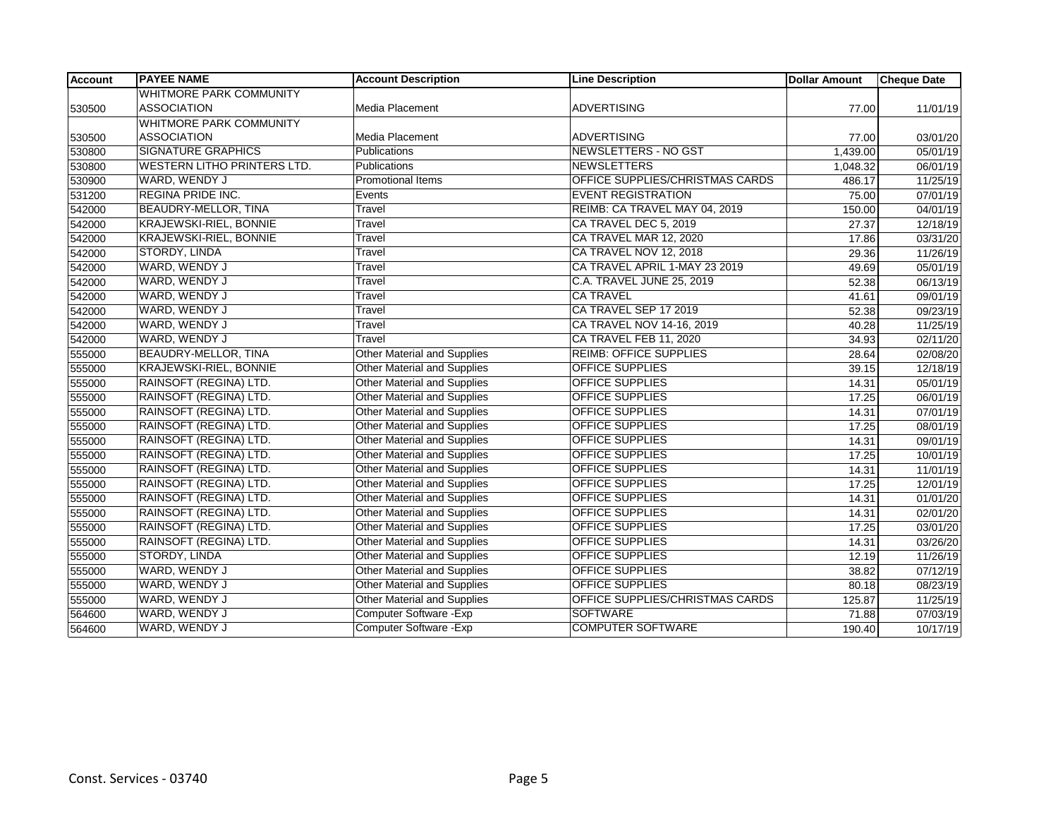| <b>Account</b> | <b>PAYEE NAME</b>                  | <b>Account Description</b>         | <b>Line Description</b>         | <b>Dollar Amount</b> | <b>Cheque Date</b> |
|----------------|------------------------------------|------------------------------------|---------------------------------|----------------------|--------------------|
|                | <b>WHITMORE PARK COMMUNITY</b>     |                                    |                                 |                      |                    |
| 530500         | <b>ASSOCIATION</b>                 | Media Placement                    | <b>ADVERTISING</b>              | 77.00                | 11/01/19           |
|                | <b>WHITMORE PARK COMMUNITY</b>     |                                    |                                 |                      |                    |
| 530500         | <b>ASSOCIATION</b>                 | Media Placement                    | ADVERTISING                     | 77.00                | 03/01/20           |
| 530800         | <b>SIGNATURE GRAPHICS</b>          | Publications                       | NEWSLETTERS - NO GST            | 1,439.00             | 05/01/19           |
| 530800         | <b>WESTERN LITHO PRINTERS LTD.</b> | <b>Publications</b>                | <b>NEWSLETTERS</b>              | 1,048.32             | 06/01/19           |
| 530900         | WARD, WENDY J                      | Promotional Items                  | OFFICE SUPPLIES/CHRISTMAS CARDS | 486.17               | 11/25/19           |
| 531200         | <b>REGINA PRIDE INC.</b>           | Events                             | <b>EVENT REGISTRATION</b>       | 75.00                | 07/01/19           |
| 542000         | <b>BEAUDRY-MELLOR, TINA</b>        | Travel                             | REIMB: CA TRAVEL MAY 04, 2019   | 150.00               | 04/01/19           |
| 542000         | <b>KRAJEWSKI-RIEL, BONNIE</b>      | Travel                             | CA TRAVEL DEC 5, 2019           | 27.37                | 12/18/19           |
| 542000         | <b>KRAJEWSKI-RIEL, BONNIE</b>      | Travel                             | CA TRAVEL MAR 12, 2020          | 17.86                | 03/31/20           |
| 542000         | STORDY, LINDA                      | Travel                             | CA TRAVEL NOV 12, 2018          | 29.36                | 11/26/19           |
| 542000         | WARD, WENDY J                      | Travel                             | CA TRAVEL APRIL 1-MAY 23 2019   | 49.69                | 05/01/19           |
| 542000         | WARD, WENDY J                      | Travel                             | C.A. TRAVEL JUNE 25, 2019       | 52.38                | 06/13/19           |
| 542000         | WARD, WENDY J                      | Travel                             | <b>CA TRAVEL</b>                | 41.61                | 09/01/19           |
| 542000         | <b>WARD, WENDY J</b>               | Travel                             | CA TRAVEL SEP 17 2019           | 52.38                | 09/23/19           |
| 542000         | <b>WARD, WENDY J</b>               | Travel                             | CA TRAVEL NOV 14-16, 2019       | 40.28                | 11/25/19           |
| 542000         | WARD, WENDY J                      | Travel                             | CA TRAVEL FEB 11, 2020          | 34.93                | 02/11/20           |
| 555000         | <b>BEAUDRY-MELLOR, TINA</b>        | <b>Other Material and Supplies</b> | <b>REIMB: OFFICE SUPPLIES</b>   | 28.64                | 02/08/20           |
| 555000         | <b>KRAJEWSKI-RIEL, BONNIE</b>      | Other Material and Supplies        | <b>OFFICE SUPPLIES</b>          | 39.15                | 12/18/19           |
| 555000         | RAINSOFT (REGINA) LTD.             | Other Material and Supplies        | <b>OFFICE SUPPLIES</b>          | 14.31                | 05/01/19           |
| 555000         | RAINSOFT (REGINA) LTD.             | <b>Other Material and Supplies</b> | <b>OFFICE SUPPLIES</b>          | 17.25                | 06/01/19           |
| 555000         | RAINSOFT (REGINA) LTD.             | <b>Other Material and Supplies</b> | <b>OFFICE SUPPLIES</b>          | 14.31                | 07/01/19           |
| 555000         | RAINSOFT (REGINA) LTD.             | Other Material and Supplies        | <b>OFFICE SUPPLIES</b>          | 17.25                | 08/01/19           |
| 555000         | RAINSOFT (REGINA) LTD.             | <b>Other Material and Supplies</b> | <b>OFFICE SUPPLIES</b>          | 14.31                | 09/01/19           |
| 555000         | RAINSOFT (REGINA) LTD.             | Other Material and Supplies        | <b>OFFICE SUPPLIES</b>          | 17.25                | 10/01/19           |
| 555000         | RAINSOFT (REGINA) LTD.             | <b>Other Material and Supplies</b> | <b>OFFICE SUPPLIES</b>          | 14.31                | 11/01/19           |
| 555000         | RAINSOFT (REGINA) LTD.             | <b>Other Material and Supplies</b> | <b>OFFICE SUPPLIES</b>          | 17.25                | 12/01/19           |
| 555000         | RAINSOFT (REGINA) LTD.             | <b>Other Material and Supplies</b> | <b>OFFICE SUPPLIES</b>          | 14.31                | 01/01/20           |
| 555000         | RAINSOFT (REGINA) LTD.             | Other Material and Supplies        | <b>OFFICE SUPPLIES</b>          | 14.31                | 02/01/20           |
| 555000         | RAINSOFT (REGINA) LTD.             | Other Material and Supplies        | <b>OFFICE SUPPLIES</b>          | 17.25                | 03/01/20           |
| 555000         | RAINSOFT (REGINA) LTD.             | <b>Other Material and Supplies</b> | <b>OFFICE SUPPLIES</b>          | 14.31                | 03/26/20           |
| 555000         | STORDY, LINDA                      | <b>Other Material and Supplies</b> | <b>OFFICE SUPPLIES</b>          | 12.19                | 11/26/19           |
| 555000         | WARD, WENDY J                      | <b>Other Material and Supplies</b> | OFFICE SUPPLIES                 | 38.82                | 07/12/19           |
| 555000         | WARD, WENDY J                      | Other Material and Supplies        | <b>OFFICE SUPPLIES</b>          | 80.18                | 08/23/19           |
| 555000         | WARD, WENDY J                      | Other Material and Supplies        | OFFICE SUPPLIES/CHRISTMAS CARDS | 125.87               | 11/25/19           |
| 564600         | WARD, WENDY J                      | Computer Software - Exp            | <b>SOFTWARE</b>                 | 71.88                | 07/03/19           |
| 564600         | WARD, WENDY J                      | Computer Software - Exp            | <b>COMPUTER SOFTWARE</b>        | 190.40               | 10/17/19           |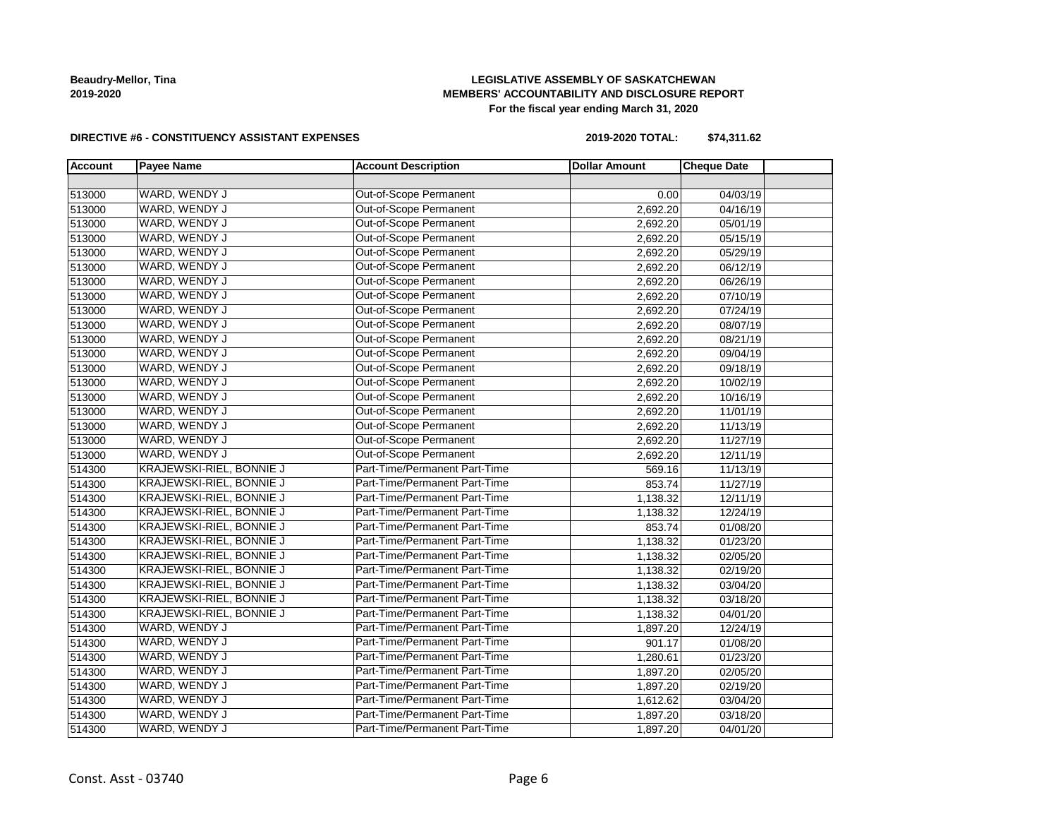# **LEGISLATIVE ASSEMBLY OF SASKATCHEWAN MEMBERS' ACCOUNTABILITY AND DISCLOSURE REPORT For the fiscal year ending March 31, 2020**

#### **DIRECTIVE #6 - CONSTITUENCY ASSISTANT EXPENSES**

**2019-2020 TOTAL: \$74,311.62**

| <b>Account</b> | <b>Payee Name</b>               | <b>Account Description</b>    | <b>Dollar Amount</b> | <b>Cheque Date</b> |  |
|----------------|---------------------------------|-------------------------------|----------------------|--------------------|--|
|                |                                 |                               |                      |                    |  |
| 513000         | WARD, WENDY J                   | <b>Out-of-Scope Permanent</b> | 0.00                 | 04/03/19           |  |
| 513000         | WARD, WENDY J                   | Out-of-Scope Permanent        | 2,692.20             | 04/16/19           |  |
| 513000         | WARD, WENDY J                   | Out-of-Scope Permanent        | 2,692.20             | 05/01/19           |  |
| 513000         | WARD, WENDY J                   | Out-of-Scope Permanent        | 2,692.20             | 05/15/19           |  |
| 513000         | WARD, WENDY J                   | Out-of-Scope Permanent        | 2,692.20             | 05/29/19           |  |
| 513000         | WARD, WENDY J                   | Out-of-Scope Permanent        | 2,692.20             | 06/12/19           |  |
| 513000         | WARD, WENDY J                   | Out-of-Scope Permanent        | 2,692.20             | 06/26/19           |  |
| 513000         | WARD, WENDY J                   | Out-of-Scope Permanent        | 2,692.20             | 07/10/19           |  |
| 513000         | WARD, WENDY J                   | Out-of-Scope Permanent        | 2,692.20             | 07/24/19           |  |
| 513000         | WARD, WENDY J                   | Out-of-Scope Permanent        | 2,692.20             | 08/07/19           |  |
| 513000         | WARD, WENDY J                   | Out-of-Scope Permanent        | 2,692.20             | 08/21/19           |  |
| 513000         | WARD, WENDY J                   | Out-of-Scope Permanent        | 2,692.20             | 09/04/19           |  |
| 513000         | WARD, WENDY J                   | Out-of-Scope Permanent        | 2,692.20             | 09/18/19           |  |
| 513000         | WARD, WENDY J                   | Out-of-Scope Permanent        | 2,692.20             | 10/02/19           |  |
| 513000         | WARD, WENDY J                   | Out-of-Scope Permanent        | 2,692.20             | 10/16/19           |  |
| 513000         | WARD, WENDY J                   | Out-of-Scope Permanent        | 2,692.20             | 11/01/19           |  |
| 513000         | WARD, WENDY J                   | Out-of-Scope Permanent        | 2,692.20             | 11/13/19           |  |
| 513000         | WARD, WENDY J                   | Out-of-Scope Permanent        | 2,692.20             | 11/27/19           |  |
| 513000         | WARD, WENDY J                   | Out-of-Scope Permanent        | 2,692.20             | 12/11/19           |  |
| 514300         | KRAJEWSKI-RIEL, BONNIE J        | Part-Time/Permanent Part-Time | 569.16               | 11/13/19           |  |
| 514300         | KRAJEWSKI-RIEL, BONNIE J        | Part-Time/Permanent Part-Time | 853.74               | 11/27/19           |  |
| 514300         | <b>KRAJEWSKI-RIEL, BONNIE J</b> | Part-Time/Permanent Part-Time | 1,138.32             | 12/11/19           |  |
| 514300         | KRAJEWSKI-RIEL, BONNIE J        | Part-Time/Permanent Part-Time | 1,138.32             | 12/24/19           |  |
| 514300         | KRAJEWSKI-RIEL, BONNIE J        | Part-Time/Permanent Part-Time | 853.74               | 01/08/20           |  |
| 514300         | KRAJEWSKI-RIEL, BONNIE J        | Part-Time/Permanent Part-Time | 1,138.32             | 01/23/20           |  |
| 514300         | <b>KRAJEWSKI-RIEL, BONNIE J</b> | Part-Time/Permanent Part-Time | 1,138.32             | 02/05/20           |  |
| 514300         | <b>KRAJEWSKI-RIEL, BONNIE J</b> | Part-Time/Permanent Part-Time | 1,138.32             | 02/19/20           |  |
| 514300         | KRAJEWSKI-RIEL, BONNIE J        | Part-Time/Permanent Part-Time | 1,138.32             | 03/04/20           |  |
| 514300         | KRAJEWSKI-RIEL, BONNIE J        | Part-Time/Permanent Part-Time | 1,138.32             | 03/18/20           |  |
| 514300         | KRAJEWSKI-RIEL, BONNIE J        | Part-Time/Permanent Part-Time | 1,138.32             | 04/01/20           |  |
| 514300         | WARD, WENDY J                   | Part-Time/Permanent Part-Time | 1,897.20             | 12/24/19           |  |
| 514300         | WARD, WENDY J                   | Part-Time/Permanent Part-Time | 901.17               | 01/08/20           |  |
| 514300         | WARD, WENDY J                   | Part-Time/Permanent Part-Time | 1,280.61             | 01/23/20           |  |
| 514300         | WARD, WENDY J                   | Part-Time/Permanent Part-Time | 1,897.20             | 02/05/20           |  |
| 514300         | WARD, WENDY J                   | Part-Time/Permanent Part-Time | 1,897.20             | 02/19/20           |  |
| 514300         | WARD, WENDY J                   | Part-Time/Permanent Part-Time | 1,612.62             | 03/04/20           |  |
| 514300         | WARD, WENDY J                   | Part-Time/Permanent Part-Time | 1,897.20             | 03/18/20           |  |
| 514300         | WARD, WENDY J                   | Part-Time/Permanent Part-Time | 1,897.20             | 04/01/20           |  |